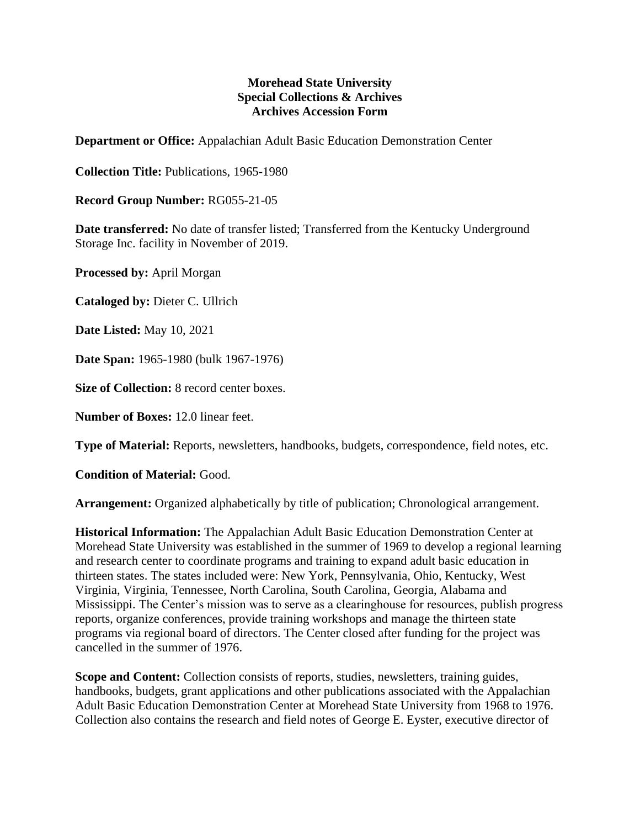## **Morehead State University Special Collections & Archives Archives Accession Form**

**Department or Office:** Appalachian Adult Basic Education Demonstration Center

**Collection Title:** Publications, 1965-1980

**Record Group Number:** RG055-21-05

**Date transferred:** No date of transfer listed; Transferred from the Kentucky Underground Storage Inc. facility in November of 2019.

**Processed by:** April Morgan

**Cataloged by:** Dieter C. Ullrich

**Date Listed:** May 10, 2021

**Date Span:** 1965-1980 (bulk 1967-1976)

**Size of Collection:** 8 record center boxes.

**Number of Boxes:** 12.0 linear feet.

**Type of Material:** Reports, newsletters, handbooks, budgets, correspondence, field notes, etc.

**Condition of Material:** Good.

**Arrangement:** Organized alphabetically by title of publication; Chronological arrangement.

**Historical Information:** The Appalachian Adult Basic Education Demonstration Center at Morehead State University was established in the summer of 1969 to develop a regional learning and research center to coordinate programs and training to expand adult basic education in thirteen states. The states included were: New York, Pennsylvania, Ohio, Kentucky, West Virginia, Virginia, Tennessee, North Carolina, South Carolina, Georgia, Alabama and Mississippi. The Center's mission was to serve as a clearinghouse for resources, publish progress reports, organize conferences, provide training workshops and manage the thirteen state programs via regional board of directors. The Center closed after funding for the project was cancelled in the summer of 1976.

**Scope and Content:** Collection consists of reports, studies, newsletters, training guides, handbooks, budgets, grant applications and other publications associated with the Appalachian Adult Basic Education Demonstration Center at Morehead State University from 1968 to 1976. Collection also contains the research and field notes of George E. Eyster, executive director of